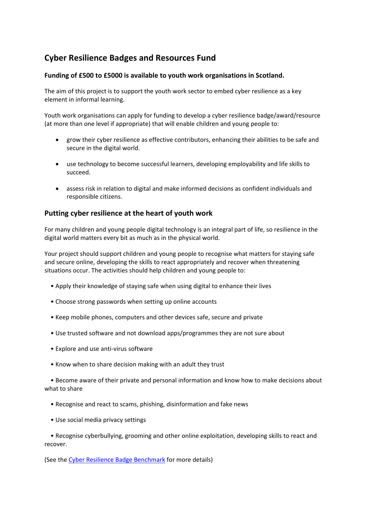# **Cyber Resilience Badges and Resources Fund**

### **Funding of £500 to £5000 is available to youth work organisations in Scotland.**

The aim of this project is to support the youth work sector to embed cyber resilience as a key element in informal learning.

Youth work organisations can apply for funding to develop a cyber resilience badge/award/resource (at more than one level if appropriate) that will enable children and young people to:

- grow their cyber resilience as effective contributors, enhancing their abilities to be safe and secure in the digital world.
- use technology to become successful learners, developing employability and life skills to succeed.
- assess risk in relation to digital and make informed decisions as confident individuals and responsible citizens.

## **Putting cyber resilience at the heart of youth work**

For many children and young people digital technology is an integral part of life, so resilience in the digital world matters every bit as much as in the physical world.

Your project should support children and young people to recognise what matters for staying safe and secure online, developing the skills to react appropriately and recover when threatening situations occur. The activities should help children and young people to:

- Apply their knowledge of staying safe when using digital to enhance their lives
- Choose strong passwords when setting up online accounts
- Keep mobile phones, computers and other devices safe, secure and private
- Use trusted software and not download apps/programmes they are not sure about
- Explore and use anti-virus software
- Know when to share decision making with an adult they trust

 • Become aware of their private and personal information and know how to make decisions about what to share

- Recognise and react to scams, phishing, disinformation and fake news
- Use social media privacy settings

 • Recognise cyberbullying, grooming and other online exploitation, developing skills to react and recover.

(See the [Cyber Resilience Badge Benchmark](https://www.youthlinkscotland.org/media/6406/cyber-resilience-badge-benchmark.pdf) for more details)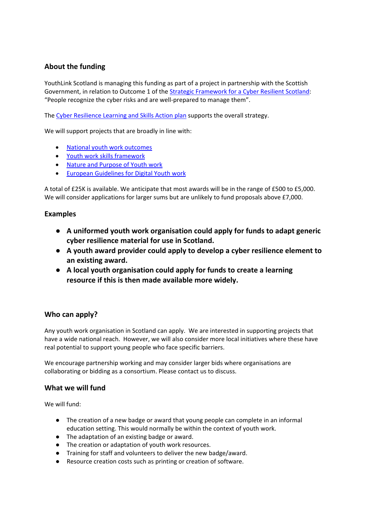## **About the funding**

YouthLink Scotland is managing this funding as part of a project in partnership with the Scottish Government, in relation to Outcome 1 of the [Strategic Framework for a Cyber Resilient Scotland:](https://www.gov.scot/publications/strategic-framework-cyber-resilient-scotland/) "People recognize the cyber risks and are well-prepared to manage them".

The [Cyber Resilience Learning and Skills Action plan](https://www.gov.scot/publications/learning-skills-action-plan-cyber-resilience-2018-20/) supports the overall strategy.

We will support projects that are broadly in line with:

- [National youth work outcomes](https://www.youthlinkscotland.org/policy-research/outcomes-and-skills/youth-work-outcomes/)
- [Youth work skills framework](https://www.youthlinkscotland.org/programmes/youth-work-and-the-attainment-challenge/skills-framework/)
- [Nature and Purpose of Youth work](https://www.youthlinkscotland.org/media/1255/statementonthenatureandpurposeofyouthwork.pdf)
- [European Guidelines for Digital Youth work](https://www.youthlinkscotland.org/develop/developing-knowledge/digital-youth-work/digital-youth-work-project/european-guidelines-for-digital-youth-work/)

A total of £25K is available. We anticipate that most awards will be in the range of £500 to £5,000. We will consider applications for larger sums but are unlikely to fund proposals above £7,000.

#### **Examples**

- **A uniformed youth work organisation could apply for funds to adapt generic cyber resilience material for use in Scotland.**
- **A youth award provider could apply to develop a cyber resilience element to an existing award.**
- **A local youth organisation could apply for funds to create a learning resource if this is then made available more widely.**

## **Who can apply?**

Any youth work organisation in Scotland can apply. We are interested in supporting projects that have a wide national reach. However, we will also consider more local initiatives where these have real potential to support young people who face specific barriers.

We encourage partnership working and may consider larger bids where organisations are collaborating or bidding as a consortium. Please contact us to discuss.

#### **What we will fund**

We will fund:

- The creation of a new badge or award that young people can complete in an informal education setting. This would normally be within the context of youth work.
- The adaptation of an existing badge or award.
- The creation or adaptation of youth work resources.
- Training for staff and volunteers to deliver the new badge/award.
- Resource creation costs such as printing or creation of software.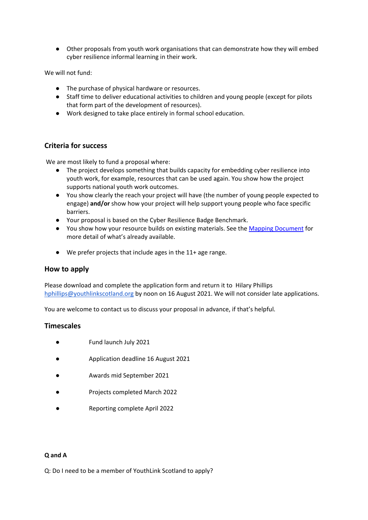● Other proposals from youth work organisations that can demonstrate how they will embed cyber resilience informal learning in their work.

We will not fund:

- The purchase of physical hardware or resources.
- Staff time to deliver educational activities to children and young people (except for pilots that form part of the development of resources).
- Work designed to take place entirely in formal school education.

## **Criteria for success**

We are most likely to fund a proposal where:

- The project develops something that builds capacity for embedding cyber resilience into youth work, for example, resources that can be used again. You show how the project supports national youth work outcomes.
- You show clearly the reach your project will have (the number of young people expected to engage) **and/or** show how your project will help support young people who face specific barriers.
- Your proposal is based on the Cyber Resilience Badge Benchmark.
- You show how your resource builds on existing materials. See the [Mapping Document](https://www.youthlinkscotland.org/media/6405/cyber-resilience-badges-awards-in-youth-work-mapping-report-april-2020.pdf) for more detail of what's already available.
- We prefer projects that include ages in the 11+ age range.

## **How to apply**

Please download and complete the application form and return it to Hilary Phillips hphillips@youthlinkscotland.org by noon on 16 August 2021. We will not consider late applications.

You are welcome to contact us to discuss your proposal in advance, if that's helpful.

## **Timescales**

- Fund launch July 2021
- Application deadline 16 August 2021
- Awards mid September 2021
- Projects completed March 2022
- Reporting complete April 2022

#### **Q and A**

Q: Do I need to be a member of YouthLink Scotland to apply?